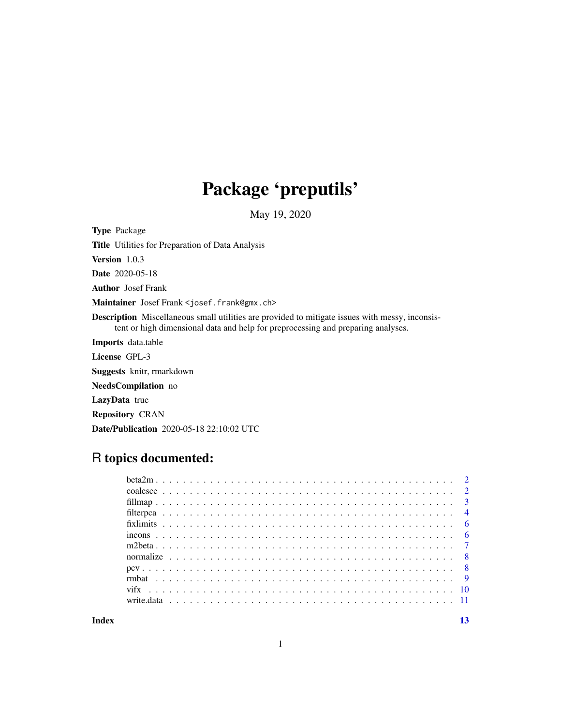## Package 'preputils'

May 19, 2020

Type Package Title Utilities for Preparation of Data Analysis Version 1.0.3 Date 2020-05-18 Author Josef Frank Maintainer Josef Frank <josef.frank@gmx.ch> Description Miscellaneous small utilities are provided to mitigate issues with messy, inconsistent or high dimensional data and help for preprocessing and preparing analyses. Imports data.table License GPL-3 Suggests knitr, rmarkdown NeedsCompilation no LazyData true Repository CRAN Date/Publication 2020-05-18 22:10:02 UTC

## R topics documented:

**Index** [13](#page-12-0)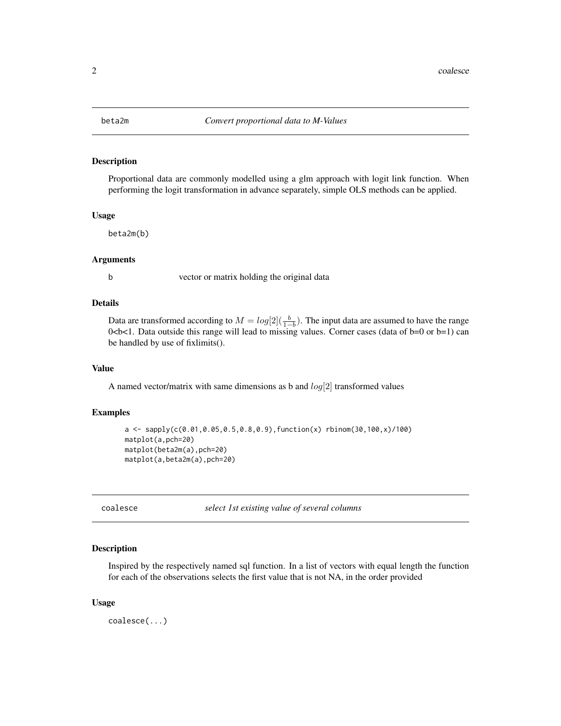<span id="page-1-0"></span>

## Description

Proportional data are commonly modelled using a glm approach with logit link function. When performing the logit transformation in advance separately, simple OLS methods can be applied.

#### Usage

beta2m(b)

#### Arguments

b vector or matrix holding the original data

## Details

Data are transformed according to  $M = log[2](\frac{b}{1-b})$ . The input data are assumed to have the range 0<b<1. Data outside this range will lead to missing values. Corner cases (data of b=0 or b=1) can be handled by use of fixlimits().

#### Value

A named vector/matrix with same dimensions as b and  $log[2]$  transformed values

#### Examples

```
a \leq - sapply(c(0.01,0.05,0.5,0.8,0.9), function(x) rbinom(30,100,x)/100)
matplot(a,pch=20)
matplot(beta2m(a),pch=20)
matplot(a,beta2m(a),pch=20)
```
coalesce *select 1st existing value of several columns*

#### Description

Inspired by the respectively named sql function. In a list of vectors with equal length the function for each of the observations selects the first value that is not NA, in the order provided

#### Usage

coalesce(...)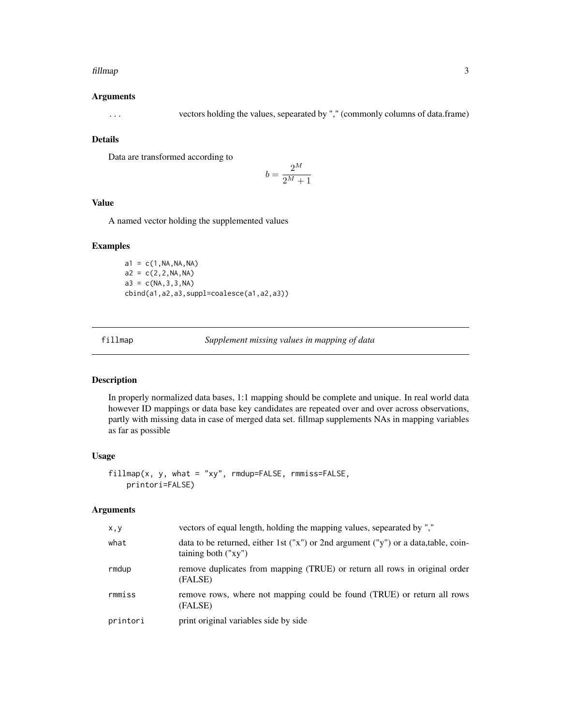#### <span id="page-2-0"></span>fillmap 3

#### Arguments

... vectors holding the values, sepearated by "," (commonly columns of data.frame)

## Details

Data are transformed according to

$$
b = \frac{2^M}{2^M + 1}
$$

## Value

A named vector holding the supplemented values

#### Examples

 $a1 = c(1, NA, NA, NA)$  $a2 = c(2, 2, NA, NA)$  $a3 = c(NA, 3, 3, NA)$ cbind(a1,a2,a3,suppl=coalesce(a1,a2,a3))

fillmap *Supplement missing values in mapping of data*

#### Description

In properly normalized data bases, 1:1 mapping should be complete and unique. In real world data however ID mappings or data base key candidates are repeated over and over across observations, partly with missing data in case of merged data set. fillmap supplements NAs in mapping variables as far as possible

#### Usage

fillmap(x, y, what = "xy", rmdup=FALSE, rmmiss=FALSE, printori=FALSE)

## Arguments

| x, y     | vectors of equal length, holding the mapping values, sepearated by ","                                       |
|----------|--------------------------------------------------------------------------------------------------------------|
| what     | data to be returned, either 1st ("x") or 2nd argument ("y") or a data, table, coin-<br>taining both $("xy")$ |
| rmdup    | remove duplicates from mapping (TRUE) or return all rows in original order<br>(FALSE)                        |
| rmmiss   | remove rows, where not mapping could be found (TRUE) or return all rows<br>(FALSE)                           |
| printori | print original variables side by side                                                                        |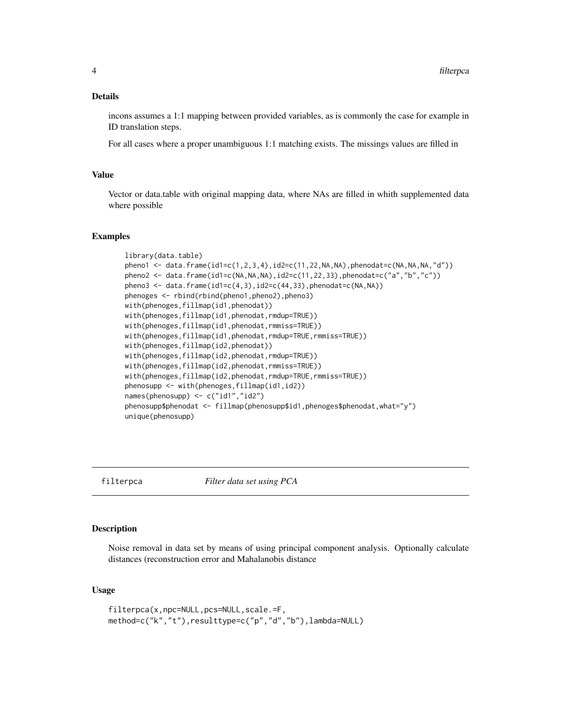## <span id="page-3-0"></span>Details

incons assumes a 1:1 mapping between provided variables, as is commonly the case for example in ID translation steps.

For all cases where a proper unambiguous 1:1 matching exists. The missings values are filled in

#### Value

Vector or data.table with original mapping data, where NAs are filled in whith supplemented data where possible

#### Examples

```
library(data.table)
pheno1 <- data.frame(id1=c(1,2,3,4),id2=c(11,22,NA,NA),phenodat=c(NA,NA,NA,"d"))
pheno2 <- data.frame(id1=c(NA,NA,NA),id2=c(11,22,33),phenodat=c("a","b","c"))
pheno3 <- data.frame(id1=c(4,3),id2=c(44,33),phenodat=c(NA, NA))
phenoges <- rbind(rbind(pheno1,pheno2),pheno3)
with(phenoges,fillmap(id1,phenodat))
with(phenoges,fillmap(id1,phenodat,rmdup=TRUE))
with(phenoges,fillmap(id1,phenodat,rmmiss=TRUE))
with(phenoges,fillmap(id1,phenodat,rmdup=TRUE,rmmiss=TRUE))
with(phenoges,fillmap(id2,phenodat))
with(phenoges,fillmap(id2,phenodat,rmdup=TRUE))
with(phenoges,fillmap(id2,phenodat,rmmiss=TRUE))
with(phenoges,fillmap(id2,phenodat,rmdup=TRUE,rmmiss=TRUE))
phenosupp <- with(phenoges,fillmap(id1,id2))
names(phenosupp) <- c("id1","id2")
phenosupp$phenodat <- fillmap(phenosupp$id1,phenoges$phenodat,what="y")
unique(phenosupp)
```

```
filterpca Filter data set using PCA
```
## Description

Noise removal in data set by means of using principal component analysis. Optionally calculate distances (reconstruction error and Mahalanobis distance

#### Usage

```
filterpca(x,npc=NULL,pcs=NULL,scale.=F,
method=c("k","t"),resulttype=c("p","d","b"),lambda=NULL)
```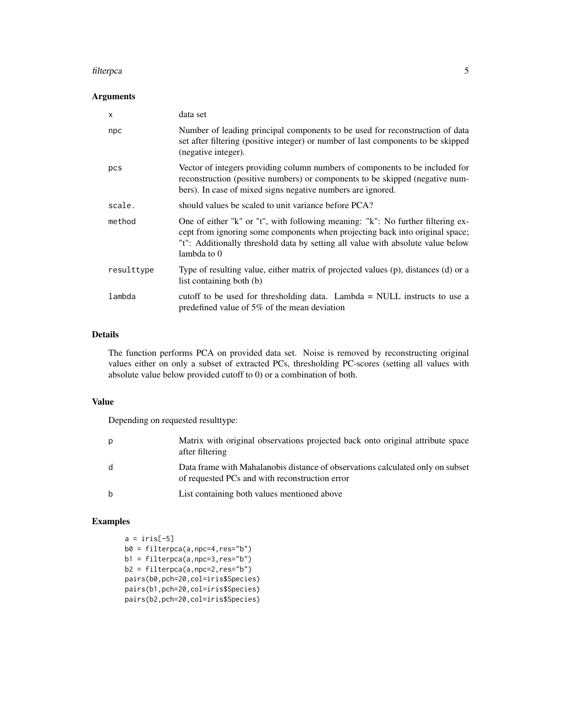#### filterpca 5

## Arguments

| X          | data set                                                                                                                                                                                                                                                            |
|------------|---------------------------------------------------------------------------------------------------------------------------------------------------------------------------------------------------------------------------------------------------------------------|
| npc        | Number of leading principal components to be used for reconstruction of data<br>set after filtering (positive integer) or number of last components to be skipped<br>(negative integer).                                                                            |
| pcs        | Vector of integers providing column numbers of components to be included for<br>reconstruction (positive numbers) or components to be skipped (negative num-<br>bers). In case of mixed signs negative numbers are ignored.                                         |
| scale.     | should values be scaled to unit variance before PCA?                                                                                                                                                                                                                |
| method     | One of either "k" or "t", with following meaning: "k": No further filtering ex-<br>cept from ignoring some components when projecting back into original space;<br>"t": Additionally threshold data by setting all value with absolute value below<br>lambda to $0$ |
| resulttype | Type of resulting value, either matrix of projected values (p), distances (d) or a<br>list containing both (b)                                                                                                                                                      |
| lambda     | cutoff to be used for thresholding data. Lambda $=$ NULL instructs to use a<br>predefined value of 5% of the mean deviation                                                                                                                                         |

## Details

The function performs PCA on provided data set. Noise is removed by reconstructing original values either on only a subset of extracted PCs, thresholding PC-scores (setting all values with absolute value below provided cutoff to 0) or a combination of both.

#### Value

Depending on requested resulttype:

| р | Matrix with original observations projected back onto original attribute space<br>after filtering                                |
|---|----------------------------------------------------------------------------------------------------------------------------------|
| d | Data frame with Mahalanobis distance of observations calculated only on subset<br>of requested PCs and with reconstruction error |
| b | List containing both values mentioned above                                                                                      |

## Examples

 $a = \text{iris}[-5]$ b0 = filterpca(a,npc=4,res="b") b1 = filterpca(a,npc=3,res="b") b2 = filterpca(a,npc=2,res="b") pairs(b0,pch=20,col=iris\$Species) pairs(b1,pch=20,col=iris\$Species) pairs(b2,pch=20,col=iris\$Species)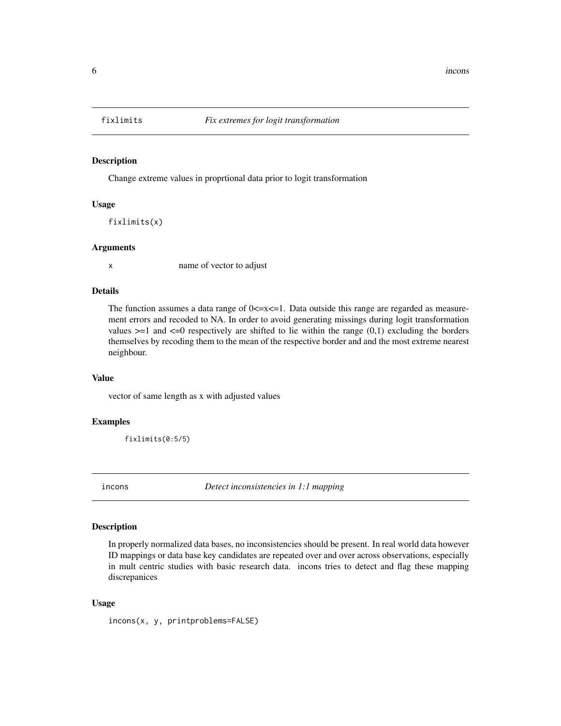<span id="page-5-0"></span>

## Description

Change extreme values in proprtional data prior to logit transformation

#### Usage

fixlimits(x)

#### Arguments

x name of vector to adjust

## Details

The function assumes a data range of  $0 \le x \le 1$ . Data outside this range are regarded as measurement errors and recoded to NA. In order to avoid generating missings during logit transformation values  $>=1$  and  $<=0$  respectively are shifted to lie within the range  $(0,1)$  excluding the borders themselves by recoding them to the mean of the respective border and and the most extreme nearest neighbour.

#### Value

vector of same length as x with adjusted values

#### Examples

fixlimits(0:5/5)

incons *Detect inconsistencies in 1:1 mapping*

#### Description

In properly normalized data bases, no inconsistencies should be present. In real world data however ID mappings or data base key candidates are repeated over and over across observations, especially in mult centric studies with basic research data. incons tries to detect and flag these mapping discrepanices

#### Usage

incons(x, y, printproblems=FALSE)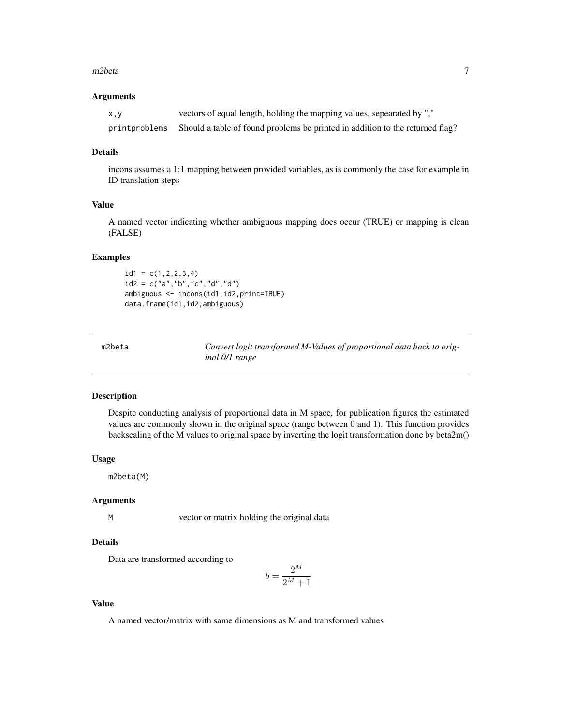#### <span id="page-6-0"></span> $m2beta$  and  $\frac{7}{2}$

#### Arguments

| X, V          | vectors of equal length, holding the mapping values, sepearated by ","        |
|---------------|-------------------------------------------------------------------------------|
| printproblems | Should a table of found problems be printed in addition to the returned flag? |

#### Details

incons assumes a 1:1 mapping between provided variables, as is commonly the case for example in ID translation steps

## Value

A named vector indicating whether ambiguous mapping does occur (TRUE) or mapping is clean (FALSE)

## Examples

 $id1 = c(1, 2, 2, 3, 4)$ id2 = c("a","b","c","d","d") ambiguous <- incons(id1,id2,print=TRUE) data.frame(id1,id2,ambiguous)

Convert logit transformed M-Values of proportional data back to orig*inal 0/1 range*

#### Description

Despite conducting analysis of proportional data in M space, for publication figures the estimated values are commonly shown in the original space (range between 0 and 1). This function provides backscaling of the M values to original space by inverting the logit transformation done by beta2m()

#### Usage

m2beta(M)

#### Arguments

M vector or matrix holding the original data

#### Details

Data are transformed according to

$$
b=\frac{2^M}{2^M+1}
$$

## Value

A named vector/matrix with same dimensions as M and transformed values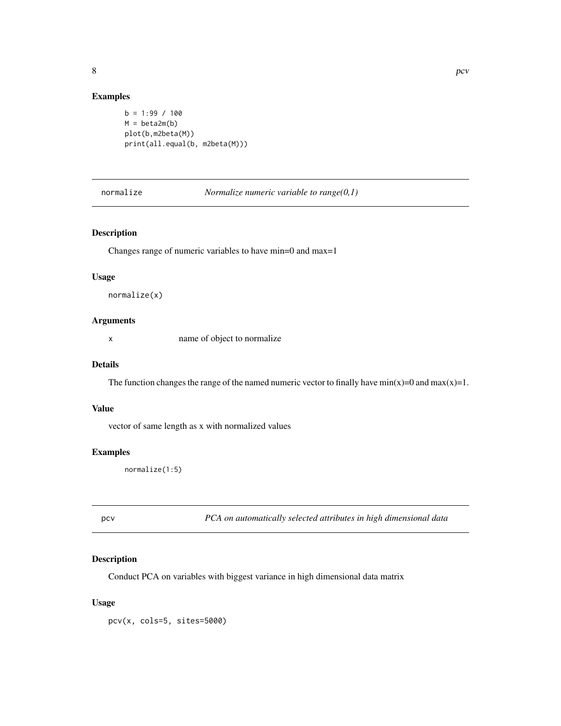## Examples

```
b = 1:99 / 100M = \text{beta2m}(b)plot(b,m2beta(M))
print(all.equal(b, m2beta(M)))
```
normalize *Normalize numeric variable to range(0,1)*

## Description

Changes range of numeric variables to have min=0 and max=1

## Usage

normalize(x)

#### Arguments

x name of object to normalize

#### Details

The function changes the range of the named numeric vector to finally have  $min(x)=0$  and  $max(x)=1$ .

#### Value

vector of same length as x with normalized values

#### Examples

normalize(1:5)

pcv *PCA on automatically selected attributes in high dimensional data*

## Description

Conduct PCA on variables with biggest variance in high dimensional data matrix

#### Usage

pcv(x, cols=5, sites=5000)

<span id="page-7-0"></span>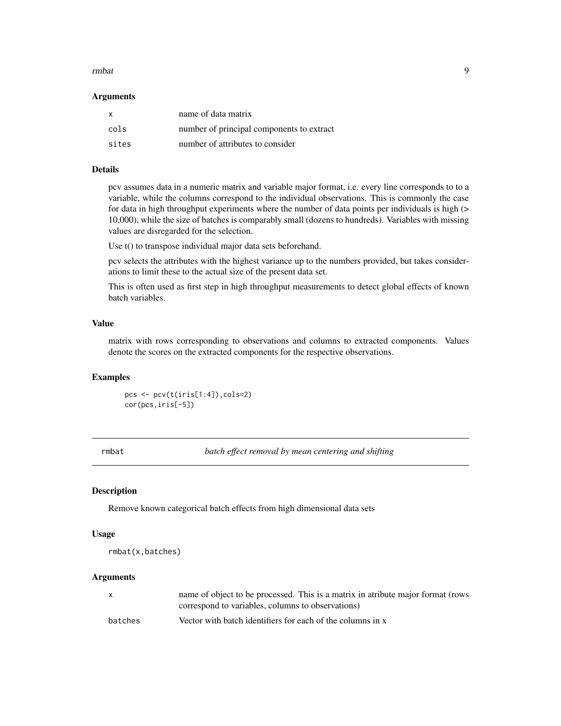#### <span id="page-8-0"></span>rmbat 9

#### **Arguments**

| $\mathsf{x}$ | name of data matrix                       |
|--------------|-------------------------------------------|
| cols         | number of principal components to extract |
| sites        | number of attributes to consider          |

#### Details

pcv assumes data in a numeric matrix and variable major format, i.e. every line corresponds to to a variable, while the columns correspond to the individual observations. This is commonly the case for data in high throughput experiments where the number of data points per individuals is high  $(>$ 10,000), while the size of batches is comparably small (dozens to hundreds). Variables with missing values are disregarded for the selection.

Use t() to transpose individual major data sets beforehand.

pcv selects the attributes with the highest variance up to the numbers provided, but takes considerations to limit these to the actual size of the present data set.

This is often used as first step in high throughput measurements to detect global effects of known batch variables.

## Value

matrix with rows corresponding to observations and columns to extracted components. Values denote the scores on the extracted components for the respective observations.

## Examples

pcs <- pcv(t(iris[1:4]),cols=2) cor(pcs,iris[-5])

rmbat *batch effect removal by mean centering and shifting*

#### Description

Remove known categorical batch effects from high dimensional data sets

#### Usage

```
rmbat(x,batches)
```
#### Arguments

| X       | name of object to be processed. This is a matrix in atribute major format (rows |
|---------|---------------------------------------------------------------------------------|
|         | correspond to variables, columns to observations)                               |
| batches | Vector with batch identifiers for each of the columns in x                      |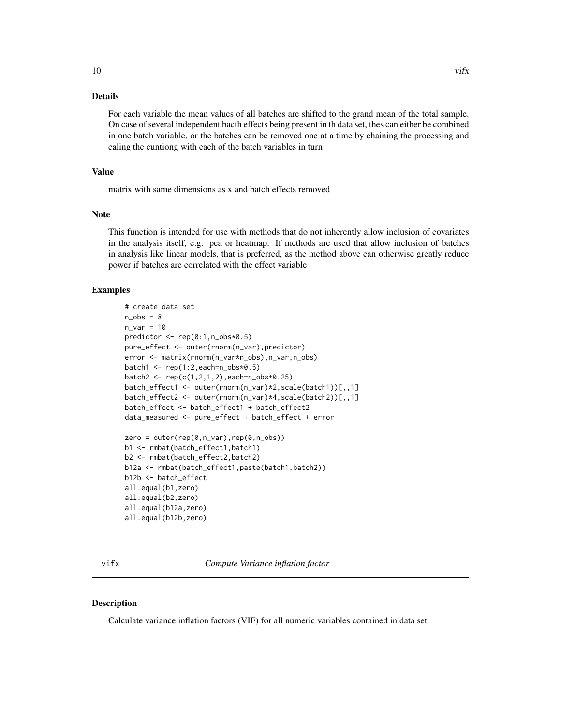## <span id="page-9-0"></span>Details

For each variable the mean values of all batches are shifted to the grand mean of the total sample. On case of several independent bacth effects being present in th data set, thes can either be combined in one batch variable, or the batches can be removed one at a time by chaining the processing and caling the cuntiong with each of the batch variables in turn

#### Value

matrix with same dimensions as x and batch effects removed

#### Note

This function is intended for use with methods that do not inherently allow inclusion of covariates in the analysis itself, e.g. pca or heatmap. If methods are used that allow inclusion of batches in analysis like linear models, that is preferred, as the method above can otherwise greatly reduce power if batches are correlated with the effect variable

## Examples

```
# create data set
n_obs = 8n_var = 10predictor <- rep(0:1,n_obs*0.5)
pure_effect <- outer(rnorm(n_var),predictor)
error <- matrix(rnorm(n_var*n_obs),n_var,n_obs)
batch1 \leq rep(1:2, each=n_obs*0.5)
batch2 < -rep(c(1, 2, 1, 2), each=n_obs*0.25)batch_effect1 <- outer(rnorm(n_var)*2,scale(batch1))[,,1]
batch_effect2 <- outer(rnorm(n_var)*4,scale(batch2))[,,1]
batch_effect <- batch_effect1 + batch_effect2
data_measured <- pure_effect + batch_effect + error
zero = outer(rep(\theta, n\_var), rep(\theta, n\_obs))b1 <- rmbat(batch_effect1,batch1)
b2 <- rmbat(batch_effect2,batch2)
b12a <- rmbat(batch_effect1,paste(batch1,batch2))
b12b <- batch_effect
all.equal(b1,zero)
all.equal(b2,zero)
all.equal(b12a,zero)
all.equal(b12b,zero)
```
vifx *Compute Variance inflation factor*

#### Description

Calculate variance inflation factors (VIF) for all numeric variables contained in data set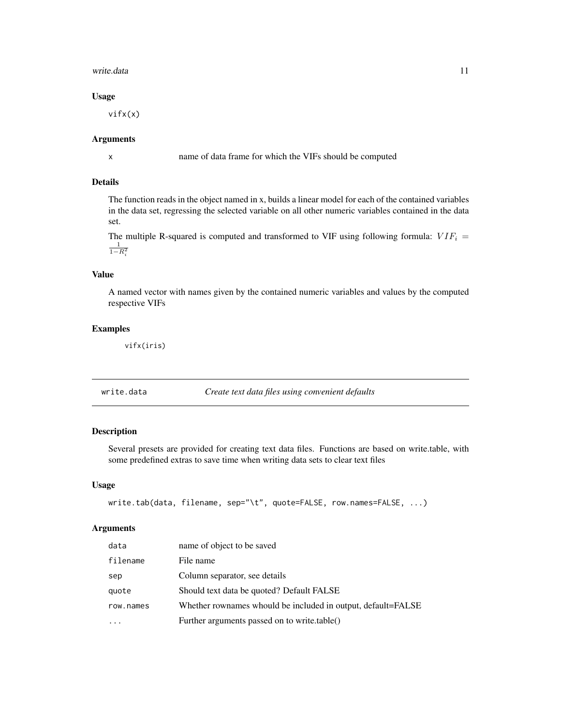#### <span id="page-10-0"></span>write.data 11

## Usage

vifx(x)

#### Arguments

x name of data frame for which the VIFs should be computed

## Details

The function reads in the object named in x, builds a linear model for each of the contained variables in the data set, regressing the selected variable on all other numeric variables contained in the data set.

The multiple R-squared is computed and transformed to VIF using following formula:  $VIF_i$  =  $\frac{1}{1-R_i^2}$ 

## Value

A named vector with names given by the contained numeric variables and values by the computed respective VIFs

## Examples

vifx(iris)

write.data *Create text data files using convenient defaults*

## Description

Several presets are provided for creating text data files. Functions are based on write.table, with some predefined extras to save time when writing data sets to clear text files

## Usage

```
write.tab(data, filename, sep="\t", quote=FALSE, row.names=FALSE, ...)
```
## Arguments

| data      | name of object to be saved                                   |
|-----------|--------------------------------------------------------------|
| filename  | File name                                                    |
| sep       | Column separator, see details                                |
| quote     | Should text data be quoted? Default FALSE                    |
| row.names | Whether rownames whould be included in output, default=FALSE |
|           | Further arguments passed on to write.table()                 |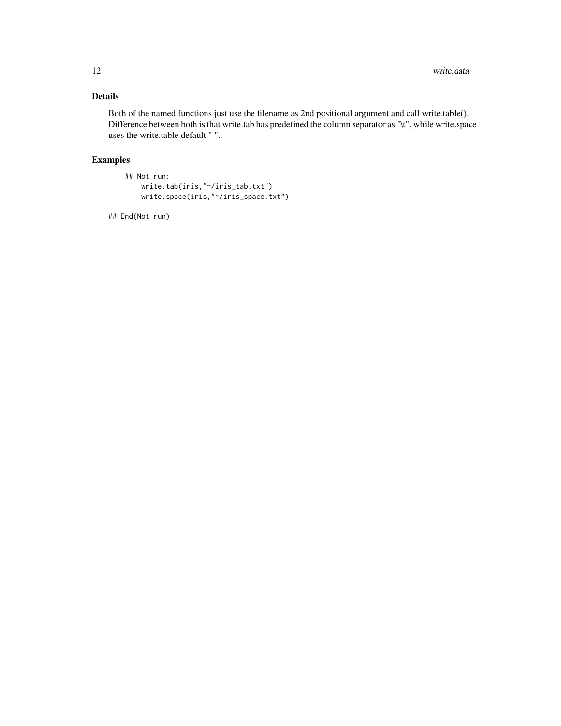## Details

Both of the named functions just use the filename as 2nd positional argument and call write.table(). Difference between both is that write.tab has predefined the column separator as "\t", while write.space uses the write.table default " ".

## Examples

```
## Not run:
   write.tab(iris,"~/iris_tab.txt")
   write.space(iris,"~/iris_space.txt")
```
## End(Not run)